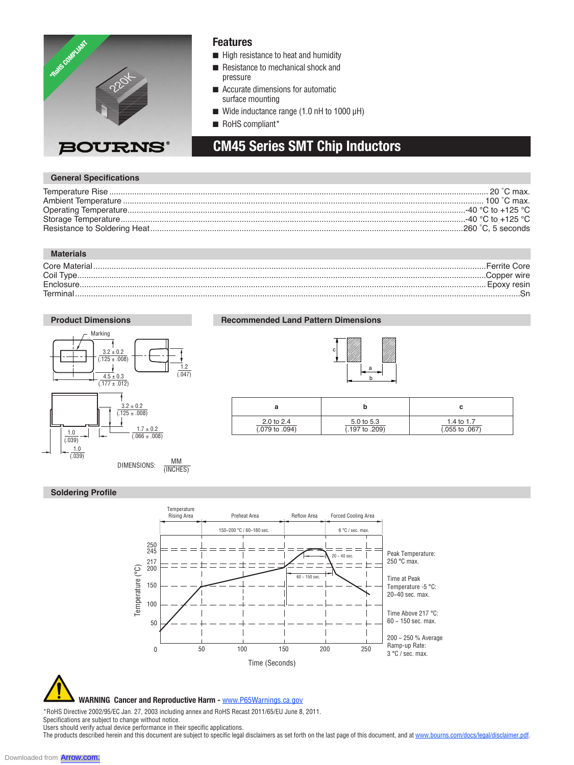

#### **Features**

- $\blacksquare$  High resistance to heat and humidity
- Resistance to mechanical shock and pressure
- $\blacksquare$  Accurate dimensions for automatic surface mounting
- $\blacksquare$  Wide inductance range (1.0 nH to 1000 µH)
- RoHS compliant\*

## **CM45 Series SMT Chip Inductors**

#### **General Specifications**

| -40 °C to +125 °C.    |
|-----------------------|
| -40 °C to +125 °C.    |
| $.260$ $°C.5$ seconds |
|                       |

#### **Materials**

|            | Ferrite Core |
|------------|--------------|
|            | .Copper wire |
| Enclosure. |              |
| Termina    |              |
|            |              |

#### **Product Dimensions CM100505, CM160808 CM322522 CM453232**



**Recommended Land Pattern Dimensions**



c

| 2.0 to 2.4                | 5.0 to 5.3                | 1.4 to 1.7                |  |  |
|---------------------------|---------------------------|---------------------------|--|--|
| $(.079 \text{ to } .094)$ | $(.197 \text{ to } .209)$ | $(.055 \text{ to } .067)$ |  |  |

#### **Soldering Profile**





 **WARNING Cancer and Reproductive Harm -** www.P65Warnings.ca.gov

\*RoHS Directive 2002/95/EC Jan. 27, 2003 including annex and RoHS Recast 2011/65/EU June 8, 2011.

Specifications are subject to change without notice.

Users should verify actual device performance in their specific applications. The products described herein and this document are subject to specific legal disclaimers as set forth on the last page of this document, and at www.bourns.com/docs/legal/disclaimer.pdf.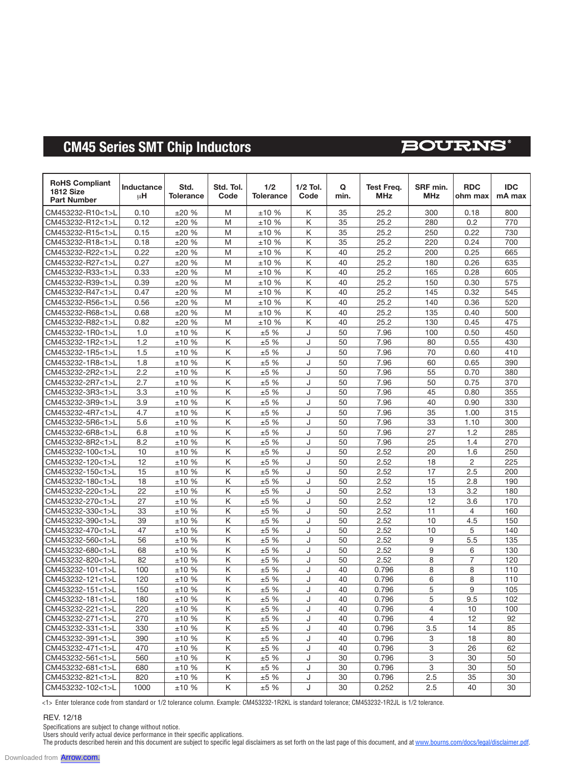# **CM45 Series SMT Chip Inductors**

## **BOURNS®**

| <b>RoHS Compliant</b><br><b>1812 Size</b><br><b>Part Number</b> | Inductance<br>μH | Std.<br><b>Tolerance</b> | Std. Tol.<br>Code | 1/2<br><b>Tolerance</b> | $1/2$ Tol.<br>Code | Q<br>min. | Test Frea.<br><b>MHz</b> | SRF min.<br><b>MHz</b> | <b>RDC</b><br>ohm max | <b>IDC</b><br>mA max |
|-----------------------------------------------------------------|------------------|--------------------------|-------------------|-------------------------|--------------------|-----------|--------------------------|------------------------|-----------------------|----------------------|
| CM453232-R10<1>L                                                | 0.10             | ±20%                     | M                 | ±10%                    | Κ                  | 35        | 25.2                     | 300                    | 0.18                  | 800                  |
| CM453232-R12<1>L                                                | 0.12             | ±20%                     | M                 | ±10%                    | Κ                  | 35        | 25.2                     | 280                    | 0.2                   | 770                  |
| CM453232-R15<1>L                                                | 0.15             | ±20%                     | M                 | ±10%                    | Κ                  | 35        | 25.2                     | 250                    | 0.22                  | 730                  |
| CM453232-R18<1>L                                                | 0.18             | ±20%                     | M                 | ±10 %                   | Κ                  | 35        | 25.2                     | 220                    | 0.24                  | 700                  |
| CM453232-R22<1>L                                                | 0.22             | ±20%                     | M                 | ±10 %                   | Κ                  | 40        | 25.2                     | 200                    | 0.25                  | 665                  |
| CM453232-R27<1>L                                                | 0.27             | ±20%                     | M                 | ±10%                    | K                  | 40        | 25.2                     | 180                    | 0.26                  | 635                  |
| CM453232-R33<1>L                                                | 0.33             | ±20%                     | M                 | ±10 %                   | Κ                  | 40        | 25.2                     | 165                    | 0.28                  | 605                  |
| CM453232-R39<1>L                                                | 0.39             | ±20%                     | M                 | ±10%                    | Κ                  | 40        | 25.2                     | 150                    | 0.30                  | 575                  |
| CM453232-R47<1>L                                                | 0.47             | ±20%                     | M                 | ±10 %                   | K                  | 40        | 25.2                     | 145                    | 0.32                  | 545                  |
| CM453232-R56<1>L                                                | 0.56             | ±20%                     | M                 | ±10%                    | Κ                  | 40        | 25.2                     | 140                    | 0.36                  | 520                  |
| CM453232-R68<1>L                                                | 0.68             | ±20%                     | M                 | ±10%                    | K                  | 40        | 25.2                     | 135                    | 0.40                  | 500                  |
| CM453232-R82<1>L                                                | 0.82             | ±20%                     | M                 | ±10%                    | Κ                  | 40        | 25.2                     | 130                    | 0.45                  | 475                  |
| CM453232-1R0<1>L                                                | 1.0              | ±10 %                    | Κ                 | ±5 %                    | J                  | 50        | 7.96                     | 100                    | 0.50                  | 450                  |
| CM453232-1R2<1>L                                                | 1.2              | ±10 %                    | Κ                 | ±5 %                    | J                  | 50        | 7.96                     | 80                     | 0.55                  | 430                  |
| CM453232-1R5<1>L                                                | 1.5              | ±10%                     | Κ                 | ±5%                     | J                  | 50        | 7.96                     | 70                     | 0.60                  | 410                  |
| CM453232-1R8<1>L                                                | 1.8              | ±10 %                    | Κ                 | ±5 %                    | J                  | 50        | 7.96                     | 60                     | 0.65                  | 390                  |
| CM453232-2R2<1>L                                                | 2.2              | ±10 %                    | Κ                 | ±5 %                    | J                  | 50        | 7.96                     | 55                     | 0.70                  | 380                  |
| CM453232-2R7<1>L                                                | 2.7              | ±10%                     | Κ                 | ±5 %                    | J                  | 50        | 7.96                     | 50                     | 0.75                  | 370                  |
| CM453232-3R3<1>L                                                | 3.3              | ±10 %                    | Κ                 | ±5 %                    | J                  | 50        | 7.96                     | 45                     | 0.80                  | 355                  |
| CM453232-3R9<1>L                                                | 3.9              | ±10%                     | Κ                 | ±5%                     | J                  | 50        | 7.96                     | 40                     | 0.90                  | 330                  |
| CM453232-4R7<1>L                                                | 4.7              | ±10%                     | Κ                 | ±5%                     | J                  | 50        | 7.96                     | 35                     | 1.00                  | 315                  |
| CM453232-5R6<1>L                                                | 5.6              | ±10%                     | K                 | ±5%                     | J                  | 50        | 7.96                     | 33                     | 1.10                  | 300                  |
| CM453232-6R8<1>L                                                | 6.8              | ±10 %                    | Κ                 | ±5 %                    | J                  | 50        | 7.96                     | 27                     | 1.2                   | 285                  |
| CM453232-8R2<1>L                                                | 8.2              | ±10 %                    | Κ                 | ±5 %                    | J                  | 50        | 7.96                     | 25                     | 1.4                   | 270                  |
| CM453232-100<1>L                                                | 10               | ±10%                     | Κ                 | ±5 %                    | J                  | 50        | 2.52                     | 20                     | 1.6                   | 250                  |
| CM453232-120<1>L                                                | 12               | ±10 %                    | Κ                 | ±5%                     | J                  | 50        | 2.52                     | 18                     | $\overline{2}$        | 225                  |
| CM453232-150<1>L                                                | 15               | ±10%                     | Κ                 | ±5%                     | J                  | 50        | 2.52                     | 17                     | 2.5                   | 200                  |
| CM453232-180<1>L                                                | 18               | ±10%                     | Κ                 | ±5 %                    | J                  | 50        | 2.52                     | 15                     | 2.8                   | 190                  |
| CM453232-220<1>L                                                | 22               | ±10 %                    | Κ                 | ±5%                     | J                  | 50        | 2.52                     | 13                     | 3.2                   | 180                  |
| CM453232-270<1>L                                                | 27               | ±10 %                    | Κ                 | ±5 %                    | J                  | 50        | 2.52                     | 12                     | 3.6                   | 170                  |
| CM453232-330<1>L                                                | 33               | ±10%                     | Κ                 | ±5%                     | J                  | 50        | 2.52                     | 11                     | $\overline{4}$        | 160                  |
| CM453232-390<1>L                                                | 39               | ±10 %                    | Κ                 | ±5 %                    | J                  | 50        | 2.52                     | 10                     | 4.5                   | 150                  |
| CM453232-470<1>L                                                | 47               | ±10 %                    | Κ                 | ±5 %                    | J                  | 50        | 2.52                     | 10                     | 5                     | 140                  |
| CM453232-560<1>L                                                | 56               | ±10%                     | Κ                 | ±5%                     | J                  | 50        | 2.52                     | 9                      | 5.5                   | 135                  |
| CM453232-680<1>L                                                | 68               | ±10 %                    | Κ                 | ±5 %                    | J                  | 50        | 2.52                     | 9                      | 6                     | 130                  |
| CM453232-820<1>L                                                | 82               | ±10 %                    | Κ                 | $\pm$ 5 %               | J                  | 50        | 2.52                     | 8                      | $\overline{7}$        | 120                  |
| CM453232-101<1>L                                                | 100              | ±10%                     | Κ                 | ±5%                     | J                  | 40        | 0.796                    | 8                      | 8                     | 110                  |
| CM453232-121<1>L                                                | 120              | ±10%                     | Κ                 | ±5 %                    | J                  | 40        | 0.796                    | 6                      | 8                     | 110                  |
| CM453232-151<1>L                                                | 150              | ±10 %                    | Κ                 | ±5%                     | J                  | 40        | 0.796                    | 5                      | 9                     | 105                  |
| CM453232-181<1>L                                                | 180              | ±10%                     | Κ                 | ±5%                     | J                  | 40        | 0.796                    | 5                      | 9.5                   | 102                  |
| CM453232-221<1>L                                                | 220              | ±10%                     | K                 | ±5%                     | J                  | 40        | 0.796                    | 4                      | 10                    | 100                  |
| CM453232-271<1>L                                                | 270              | ±10%                     | Κ                 | ±5%                     | J                  | 40        | 0.796                    | 4                      | 12                    | 92                   |
| CM453232-331<1>L                                                | 330              | ±10%                     | Κ                 | $\pm 5$ %               | J                  | 40        | 0.796                    | 3.5                    | 14                    | 85                   |
| CM453232-391<1>L                                                | 390              | ±10%                     | Κ                 | ±5%                     | J                  | 40        | 0.796                    | 3                      | 18                    | 80                   |
| CM453232-471<1>L                                                | 470              | ±10%                     | Κ                 | ±5%                     | J                  | 40        | 0.796                    | 3                      | 26                    | 62                   |
| CM453232-561<1>L                                                | 560              | ±10%                     | Κ                 | $\pm 5$ %               | J                  | 30        | 0.796                    | 3                      | 30                    | 50                   |
| CM453232-681<1>L                                                | 680              | ±10%                     | Κ                 | ±5%                     | J                  | 30        | 0.796                    | 3                      | 30                    | 50                   |
| CM453232-821<1>L                                                | 820              | ±10%                     | Κ                 | ±5%                     | J                  | 30        | 0.796                    | 2.5                    | 35                    | 30                   |
| CM453232-102<1>L                                                | 1000             | ±10%                     | Κ                 | ±5%                     | J                  | 30        | 0.252                    | 2.5                    | 40                    | 30                   |

<1> Enter tolerance code from standard or 1/2 tolerance column. Example: CM453232-1R2KL is standard tolerance; CM453232-1R2JL is 1/2 tolerance.

#### REV. 12/18

Specifications are subject to change without notice.

Users should verify actual device performance in their specific applications.

The products described herein and this document are subject to specific legal disclaimers as set forth on the last page of this document, and at <u>www.bourns.com/docs/legal/disclaimer.pdf</u>.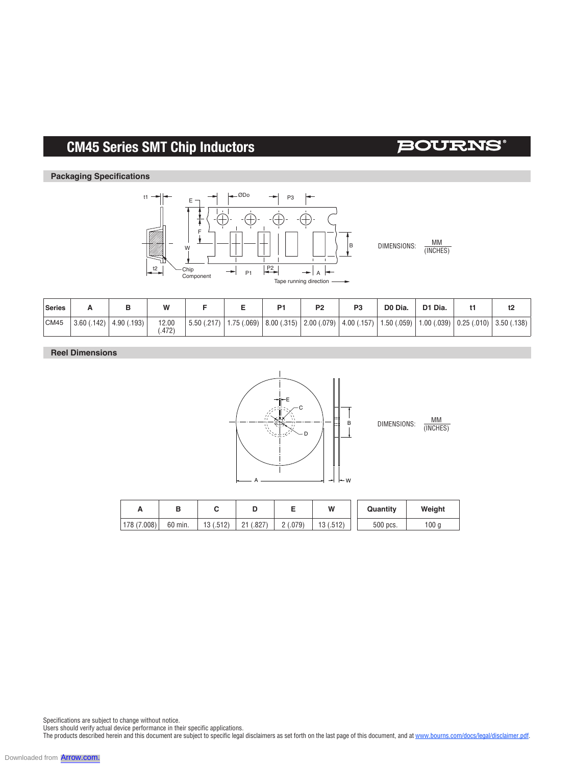# **CM45 Series SMT Chip Inductors**

## **BOURNS**

#### **Packaging Specifications**



ØDo

DIMENSIONS:  $\frac{MM}{MNCHE}$ (INCHES)

| Series |                 |             | W             |                             | P <sub>1</sub> | P <sub>2</sub> | P <sub>3</sub> | D0 Dia.                                                         | D1 Dia.    |                                                     |  |
|--------|-----------------|-------------|---------------|-----------------------------|----------------|----------------|----------------|-----------------------------------------------------------------|------------|-----------------------------------------------------|--|
| CM45   | (.142)<br>3.60( | 4.90 (.193) | 12.00<br>.472 | 5.50 (0.217)   1.75 (0.069) | 8.00(.315)     |                |                | $\mid$ 2.00 (.079) $\mid$ 4.00 (.157) $\mid$ 1.50 (.059) $\mid$ | 1.00(.039) | $\vert 0.25 \, (0.010) \vert 3.50 \, (0.138) \vert$ |  |

P3

#### **Reel Dimensions**





| −           |         |           |                            |         | W        | Quantity | Weight           |
|-------------|---------|-----------|----------------------------|---------|----------|----------|------------------|
| 178 (7.008) | 60 min. | 13 (.512) | (.827)<br>$^{\circ}$<br>∠∣ | 2(.079) | 13(.512) | 500 pcs. | 100 <sub>g</sub> |

Specifications are subject to change without notice.

Users should verify actual device performance in their specific applications.

The products described herein and this document are subject to specific legal disclaimers as set forth on the last page of this document, and at <u>www.bourns.com/docs/legal/disclaimer.pdf</u>.